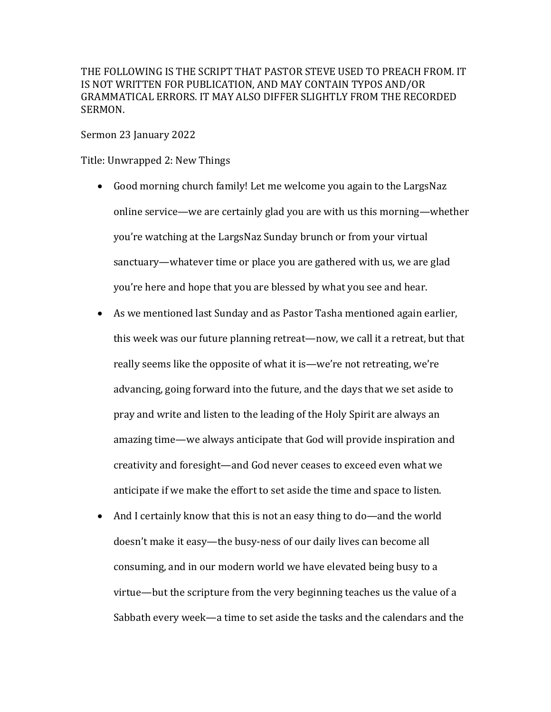THE FOLLOWING IS THE SCRIPT THAT PASTOR STEVE USED TO PREACH FROM. IT IS NOT WRITTEN FOR PUBLICATION, AND MAY CONTAIN TYPOS AND/OR GRAMMATICAL ERRORS. IT MAY ALSO DIFFER SLIGHTLY FROM THE RECORDED SERMON.

Sermon 23 January 2022

Title: Unwrapped 2: New Things

- Good morning church family! Let me welcome you again to the LargsNaz online service—we are certainly glad you are with us this morning—whether you're watching at the LargsNaz Sunday brunch or from your virtual sanctuary—whatever time or place you are gathered with us, we are glad you're here and hope that you are blessed by what you see and hear.
- As we mentioned last Sunday and as Pastor Tasha mentioned again earlier, this week was our future planning retreat—now, we call it a retreat, but that really seems like the opposite of what it is—we're not retreating, we're advancing, going forward into the future, and the days that we set aside to pray and write and listen to the leading of the Holy Spirit are always an amazing time—we always anticipate that God will provide inspiration and creativity and foresight—and God never ceases to exceed even what we anticipate if we make the effort to set aside the time and space to listen.
- And I certainly know that this is not an easy thing to do—and the world doesn't make it easy—the busy-ness of our daily lives can become all consuming, and in our modern world we have elevated being busy to a virtue—but the scripture from the very beginning teaches us the value of a Sabbath every week—a time to set aside the tasks and the calendars and the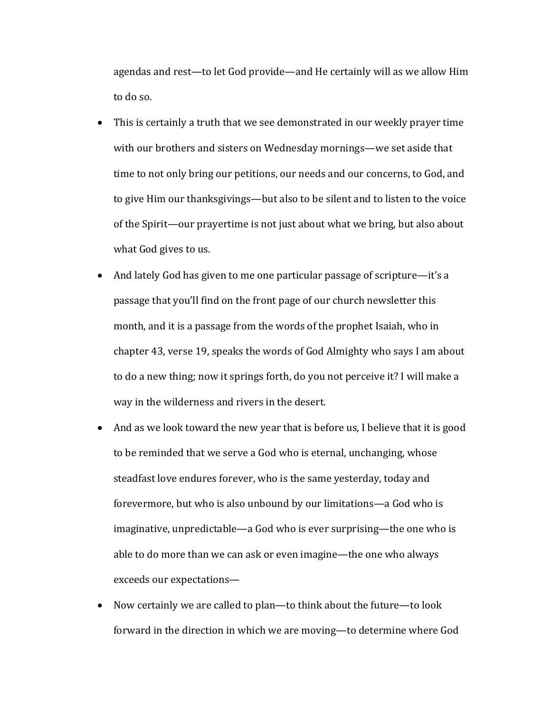agendas and rest—to let God provide—and He certainly will as we allow Him to do so.

- This is certainly a truth that we see demonstrated in our weekly prayer time with our brothers and sisters on Wednesday mornings—we set aside that time to not only bring our petitions, our needs and our concerns, to God, and to give Him our thanksgivings—but also to be silent and to listen to the voice of the Spirit—our prayertime is not just about what we bring, but also about what God gives to us.
- And lately God has given to me one particular passage of scripture—it's a passage that you'll find on the front page of our church newsletter this month, and it is a passage from the words of the prophet Isaiah, who in chapter 43, verse 19, speaks the words of God Almighty who says I am about to do a new thing; now it springs forth, do you not perceive it? I will make a way in the wilderness and rivers in the desert.
- And as we look toward the new year that is before us, I believe that it is good to be reminded that we serve a God who is eternal, unchanging, whose steadfast love endures forever, who is the same yesterday, today and forevermore, but who is also unbound by our limitations—a God who is imaginative, unpredictable—a God who is ever surprising—the one who is able to do more than we can ask or even imagine—the one who always exceeds our expectations-
- Now certainly we are called to plan—to think about the future—to look forward in the direction in which we are moving—to determine where God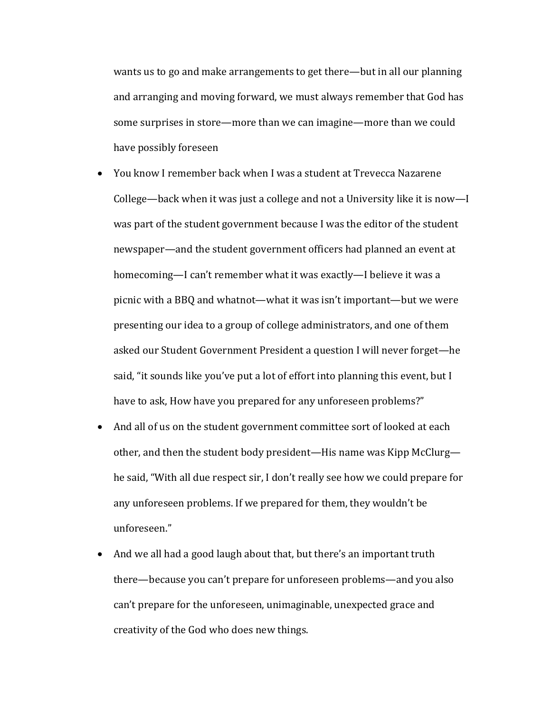wants us to go and make arrangements to get there—but in all our planning and arranging and moving forward, we must always remember that God has some surprises in store—more than we can imagine—more than we could have possibly foreseen

- You know I remember back when I was a student at Trevecca Nazarene College—back when it was just a college and not a University like it is now—I was part of the student government because I was the editor of the student newspaper—and the student government officers had planned an event at homecoming—I can't remember what it was exactly—I believe it was a picnic with a BBQ and whatnot—what it was isn't important—but we were presenting our idea to a group of college administrators, and one of them asked our Student Government President a question I will never forget-he said, "it sounds like you've put a lot of effort into planning this event, but I have to ask, How have you prepared for any unforeseen problems?"
- And all of us on the student government committee sort of looked at each other, and then the student body president—His name was Kipp McClurg he said, "With all due respect sir, I don't really see how we could prepare for any unforeseen problems. If we prepared for them, they wouldn't be unforeseen."
- And we all had a good laugh about that, but there's an important truth there—because you can't prepare for unforeseen problems—and you also can't prepare for the unforeseen, unimaginable, unexpected grace and creativity of the God who does new things.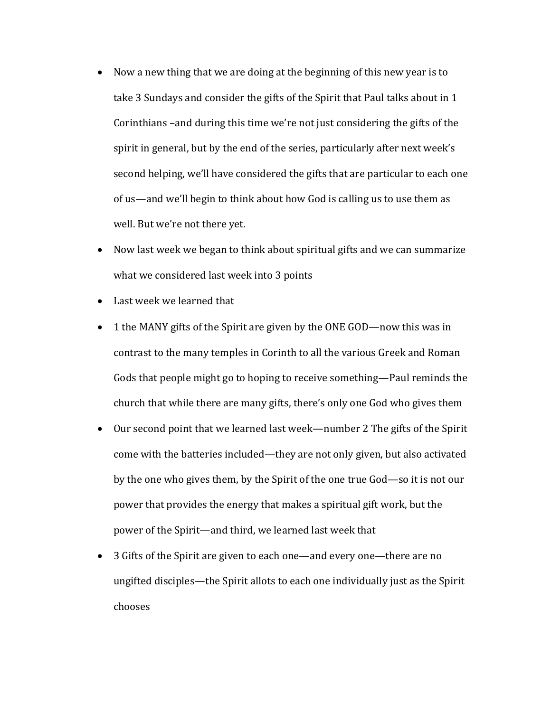- Now a new thing that we are doing at the beginning of this new year is to take 3 Sundays and consider the gifts of the Spirit that Paul talks about in 1 Corinthians –and during this time we're not just considering the gifts of the spirit in general, but by the end of the series, particularly after next week's second helping, we'll have considered the gifts that are particular to each one of us—and we'll begin to think about how God is calling us to use them as well. But we're not there yet.
- Now last week we began to think about spiritual gifts and we can summarize what we considered last week into 3 points
- Last week we learned that
- 1 the MANY gifts of the Spirit are given by the ONE GOD—now this was in contrast to the many temples in Corinth to all the various Greek and Roman Gods that people might go to hoping to receive something—Paul reminds the church that while there are many gifts, there's only one God who gives them
- Our second point that we learned last week—number 2 The gifts of the Spirit come with the batteries included—they are not only given, but also activated by the one who gives them, by the Spirit of the one true God—so it is not our power that provides the energy that makes a spiritual gift work, but the power of the Spirit—and third, we learned last week that
- 3 Gifts of the Spirit are given to each one—and every one—there are no ungifted disciples—the Spirit allots to each one individually just as the Spirit chooses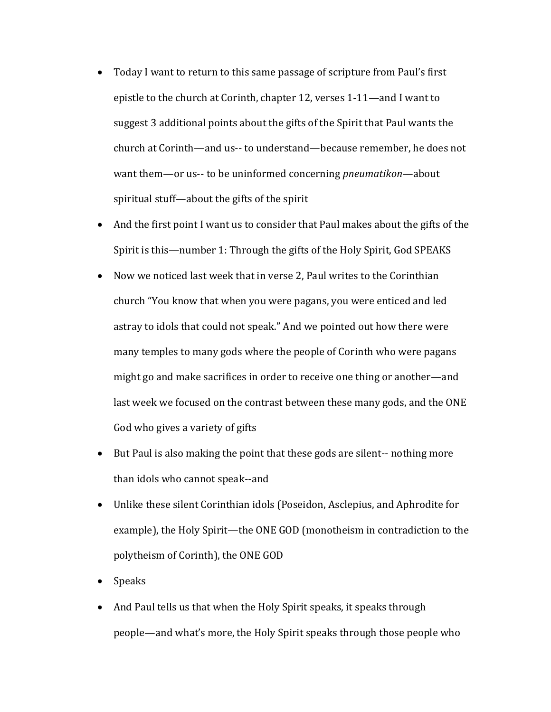- Today I want to return to this same passage of scripture from Paul's first epistle to the church at Corinth, chapter 12, verses 1-11—and I want to suggest 3 additional points about the gifts of the Spirit that Paul wants the church at Corinth—and us-- to understand—because remember, he does not want them—or us-- to be uninformed concerning *pneumatikon*—about spiritual stuff—about the gifts of the spirit
- And the first point I want us to consider that Paul makes about the gifts of the Spirit is this—number 1: Through the gifts of the Holy Spirit, God SPEAKS
- Now we noticed last week that in verse 2, Paul writes to the Corinthian church "You know that when you were pagans, you were enticed and led astray to idols that could not speak." And we pointed out how there were many temples to many gods where the people of Corinth who were pagans might go and make sacrifices in order to receive one thing or another—and last week we focused on the contrast between these many gods, and the ONE God who gives a variety of gifts
- But Paul is also making the point that these gods are silent-- nothing more than idols who cannot speak--and
- Unlike these silent Corinthian idols (Poseidon, Asclepius, and Aphrodite for example), the Holy Spirit—the ONE GOD (monotheism in contradiction to the polytheism of Corinth), the ONE GOD
- Speaks
- And Paul tells us that when the Holy Spirit speaks, it speaks through people—and what's more, the Holy Spirit speaks through those people who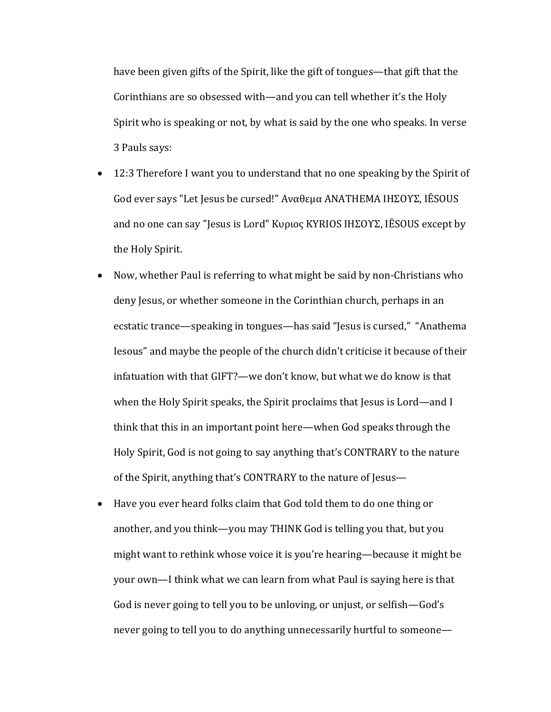have been given gifts of the Spirit, like the gift of tongues—that gift that the Corinthians are so obsessed with—and you can tell whether it's the Holy Spirit who is speaking or not, by what is said by the one who speaks. In verse 3 Pauls says:

- 12:3 Therefore I want you to understand that no one speaking by the Spirit of God ever says "Let Jesus be cursed!" Αναθεμα ΑΝΑΤΗΕΜΑ ΙΗΣΟΥΣ, IĒSOUS and no one can say "Jesus is Lord" Κυριος ΚΥRIOS ΙΗΣΟΥΣ, IĒSOUS except by the Holy Spirit.
- Now, whether Paul is referring to what might be said by non-Christians who deny Jesus, or whether someone in the Corinthian church, perhaps in an ecstatic trance—speaking in tongues—has said "Jesus is cursed," "Anathema Iesous" and maybe the people of the church didn't criticise it because of their infatuation with that GIFT?—we don't know, but what we do know is that when the Holy Spirit speaks, the Spirit proclaims that Jesus is Lord—and I think that this in an important point here—when God speaks through the Holy Spirit, God is not going to say anything that's CONTRARY to the nature of the Spirit, anything that's CONTRARY to the nature of Jesus-
- Have you ever heard folks claim that God told them to do one thing or another, and you think—you may THINK God is telling you that, but you might want to rethink whose voice it is you're hearing—because it might be your own—I think what we can learn from what Paul is saying here is that God is never going to tell you to be unloving, or unjust, or selfish—God's never going to tell you to do anything unnecessarily hurtful to someone—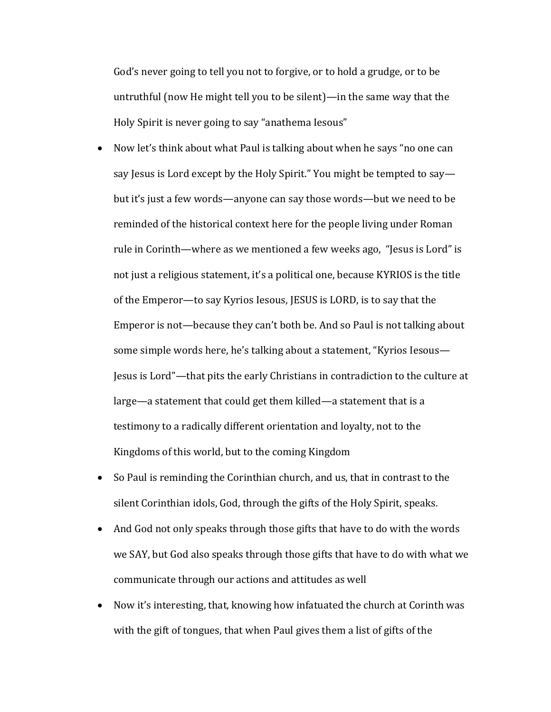God's never going to tell you not to forgive, or to hold a grudge, or to be untruthful (now He might tell you to be silent)—in the same way that the Holy Spirit is never going to say "anathema Iesous"

- Now let's think about what Paul is talking about when he says "no one can say Jesus is Lord except by the Holy Spirit." You might be tempted to say but it's just a few words—anyone can say those words—but we need to be reminded of the historical context here for the people living under Roman rule in Corinth—where as we mentioned a few weeks ago, "Jesus is Lord" is not just a religious statement, it's a political one, because KYRIOS is the title of the Emperor—to say Kyrios Iesous, JESUS is LORD, is to say that the Emperor is not—because they can't both be. And so Paul is not talking about some simple words here, he's talking about a statement, "Kyrios Iesous— Jesus is Lord"—that pits the early Christians in contradiction to the culture at large—a statement that could get them killed—a statement that is a testimony to a radically different orientation and loyalty, not to the Kingdoms of this world, but to the coming Kingdom
- So Paul is reminding the Corinthian church, and us, that in contrast to the silent Corinthian idols, God, through the gifts of the Holy Spirit, speaks.
- And God not only speaks through those gifts that have to do with the words we SAY, but God also speaks through those gifts that have to do with what we communicate through our actions and attitudes as well
- Now it's interesting, that, knowing how infatuated the church at Corinth was with the gift of tongues, that when Paul gives them a list of gifts of the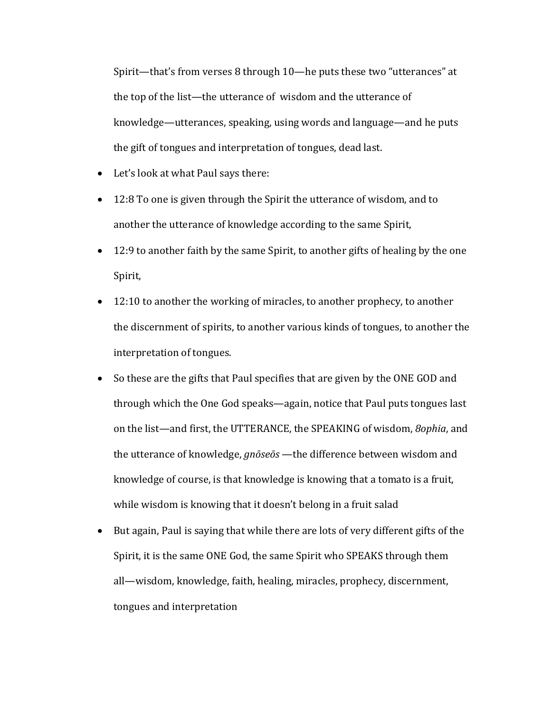Spirit—that's from verses 8 through 10—he puts these two "utterances" at the top of the list—the utterance of wisdom and the utterance of knowledge—utterances, speaking, using words and language—and he puts the gift of tongues and interpretation of tongues, dead last.

- Let's look at what Paul says there:
- 12:8 To one is given through the Spirit the utterance of wisdom, and to another the utterance of knowledge according to the same Spirit,
- 12:9 to another faith by the same Spirit, to another gifts of healing by the one Spirit,
- $\bullet$  12:10 to another the working of miracles, to another prophecy, to another the discernment of spirits, to another various kinds of tongues, to another the interpretation of tongues.
- So these are the gifts that Paul specifies that are given by the ONE GOD and through which the One God speaks—again, notice that Paul puts tongues last on the list—and first, the UTTERANCE, the SPEAKING of wisdom, *8ophia*, and the utterance of knowledge, *gnōseōs* —the difference between wisdom and knowledge of course, is that knowledge is knowing that a tomato is a fruit, while wisdom is knowing that it doesn't belong in a fruit salad
- But again, Paul is saying that while there are lots of very different gifts of the Spirit, it is the same ONE God, the same Spirit who SPEAKS through them all—wisdom, knowledge, faith, healing, miracles, prophecy, discernment, tongues and interpretation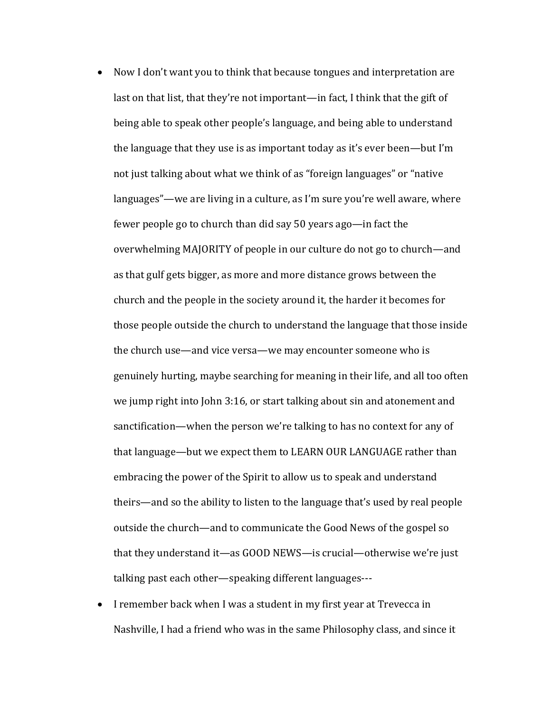- Now I don't want you to think that because tongues and interpretation are last on that list, that they're not important—in fact, I think that the gift of being able to speak other people's language, and being able to understand the language that they use is as important today as it's ever been—but I'm not just talking about what we think of as "foreign languages" or "native languages"—we are living in a culture, as I'm sure you're well aware, where fewer people go to church than did say 50 years ago—in fact the overwhelming MAJORITY of people in our culture do not go to church—and as that gulf gets bigger, as more and more distance grows between the church and the people in the society around it, the harder it becomes for those people outside the church to understand the language that those inside the church use—and vice versa—we may encounter someone who is genuinely hurting, maybe searching for meaning in their life, and all too often we jump right into John  $3:16$ , or start talking about sin and atonement and sanctification—when the person we're talking to has no context for any of that language—but we expect them to LEARN OUR LANGUAGE rather than embracing the power of the Spirit to allow us to speak and understand theirs—and so the ability to listen to the language that's used by real people outside the church—and to communicate the Good News of the gospel so that they understand it—as GOOD NEWS—is crucial—otherwise we're just talking past each other—speaking different languages---
- I remember back when I was a student in my first year at Trevecca in Nashville, I had a friend who was in the same Philosophy class, and since it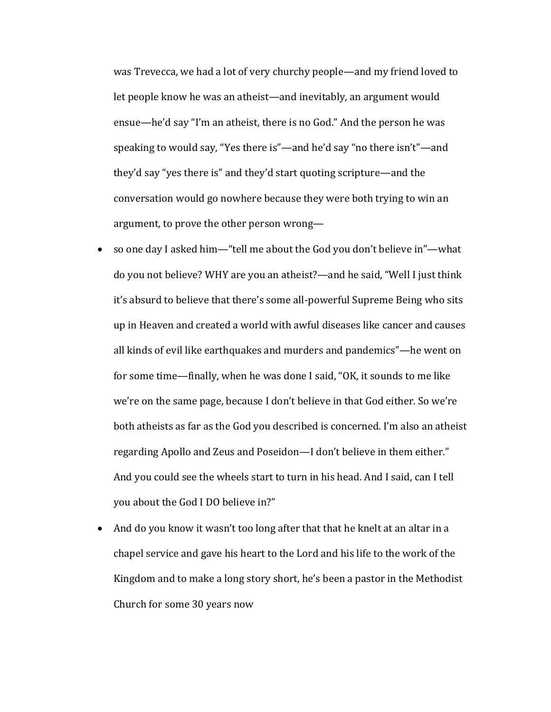was Trevecca, we had a lot of very churchy people—and my friend loved to let people know he was an atheist—and inevitably, an argument would ensue—he'd say "I'm an atheist, there is no God." And the person he was speaking to would say, "Yes there is"—and he'd say "no there isn't"—and they'd say "yes there is" and they'd start quoting scripture—and the conversation would go nowhere because they were both trying to win an argument, to prove the other person wrong-

- so one day I asked him—"tell me about the God you don't believe in"—what do you not believe? WHY are you an atheist?—and he said, "Well I just think it's absurd to believe that there's some all-powerful Supreme Being who sits up in Heaven and created a world with awful diseases like cancer and causes all kinds of evil like earthquakes and murders and pandemics"—he went on for some time—finally, when he was done I said, "OK, it sounds to me like we're on the same page, because I don't believe in that God either. So we're both atheists as far as the God you described is concerned. I'm also an atheist regarding Apollo and Zeus and Poseidon—I don't believe in them either." And you could see the wheels start to turn in his head. And I said, can I tell you about the God I DO believe in?"
- And do you know it wasn't too long after that that he knelt at an altar in a chapel service and gave his heart to the Lord and his life to the work of the Kingdom and to make a long story short, he's been a pastor in the Methodist Church for some 30 years now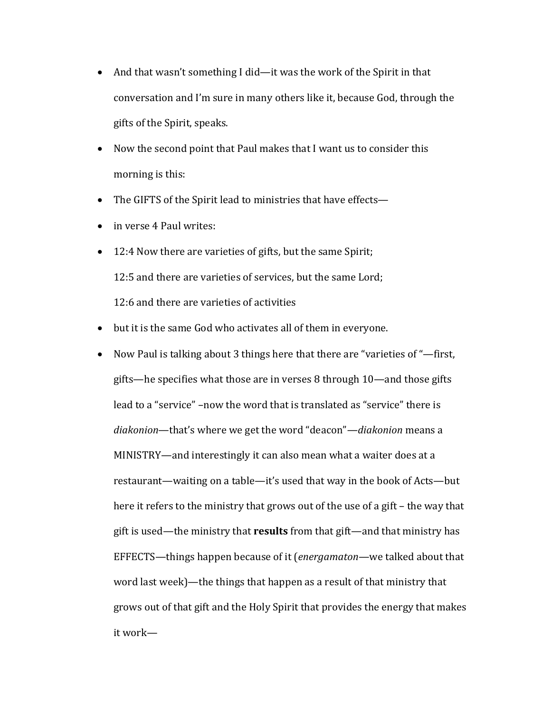- And that wasn't something I did—it was the work of the Spirit in that conversation and I'm sure in many others like it, because God, through the gifts of the Spirit, speaks.
- Now the second point that Paul makes that I want us to consider this morning is this:
- The GIFTS of the Spirit lead to ministries that have effects—
- in verse 4 Paul writes:
- 12:4 Now there are varieties of gifts, but the same Spirit; 12:5 and there are varieties of services, but the same Lord; 12:6 and there are varieties of activities
- but it is the same God who activates all of them in everyone.
- Now Paul is talking about 3 things here that there are "varieties of "—first, gifts—he specifies what those are in verses 8 through  $10$ —and those gifts lead to a "service" -now the word that is translated as "service" there is diakonion—that's where we get the word "deacon"—*diakonion* means a MINISTRY—and interestingly it can also mean what a waiter does at a restaurant—waiting on a table—it's used that way in the book of Acts—but here it refers to the ministry that grows out of the use of a gift – the way that gift is used—the ministry that **results** from that gift—and that ministry has EFFECTS—things happen because of it (*energamaton*—we talked about that word last week)—the things that happen as a result of that ministry that grows out of that gift and the Holy Spirit that provides the energy that makes it work—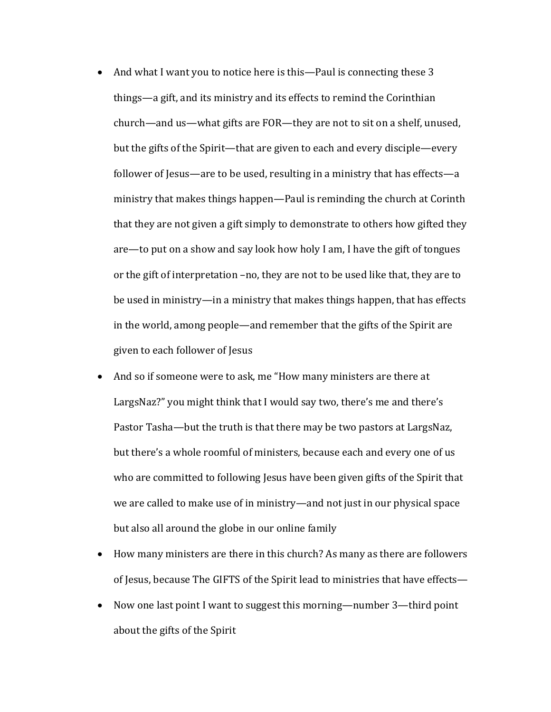- And what I want you to notice here is this—Paul is connecting these 3 things—a gift, and its ministry and its effects to remind the Corinthian church—and us—what gifts are FOR—they are not to sit on a shelf, unused, but the gifts of the Spirit—that are given to each and every disciple—every follower of Jesus—are to be used, resulting in a ministry that has effects—a ministry that makes things happen—Paul is reminding the church at Corinth that they are not given a gift simply to demonstrate to others how gifted they are—to put on a show and say look how holy I am, I have the gift of tongues or the gift of interpretation -no, they are not to be used like that, they are to be used in ministry—in a ministry that makes things happen, that has effects in the world, among people—and remember that the gifts of the Spirit are given to each follower of Jesus
- And so if someone were to ask, me "How many ministers are there at LargsNaz?" you might think that I would say two, there's me and there's Pastor Tasha—but the truth is that there may be two pastors at LargsNaz, but there's a whole roomful of ministers, because each and every one of us who are committed to following Jesus have been given gifts of the Spirit that we are called to make use of in ministry—and not just in our physical space but also all around the globe in our online family
- How many ministers are there in this church? As many as there are followers of Jesus, because The GIFTS of the Spirit lead to ministries that have effects-
- Now one last point I want to suggest this morning—number 3—third point about the gifts of the Spirit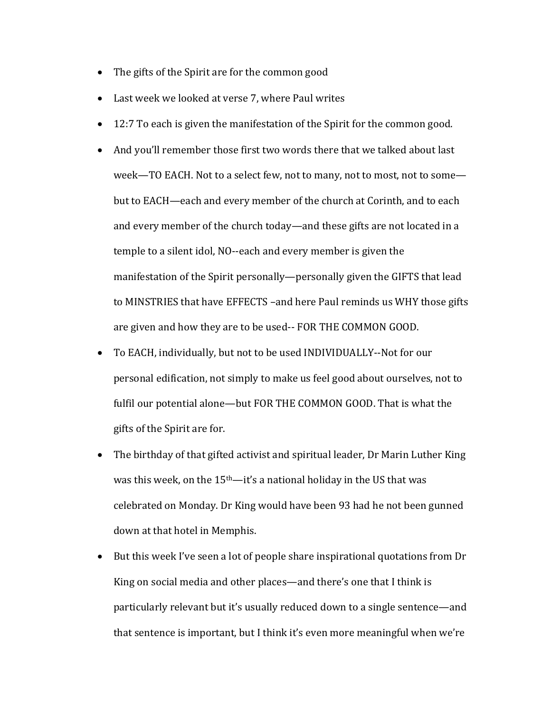- The gifts of the Spirit are for the common good
- Last week we looked at verse 7, where Paul writes
- 12:7 To each is given the manifestation of the Spirit for the common good.
- And you'll remember those first two words there that we talked about last week-TO EACH. Not to a select few, not to many, not to most, not to somebut to EACH—each and every member of the church at Corinth, and to each and every member of the church today—and these gifts are not located in a temple to a silent idol, NO--each and every member is given the manifestation of the Spirit personally—personally given the GIFTS that lead to MINSTRIES that have EFFECTS -and here Paul reminds us WHY those gifts are given and how they are to be used-- FOR THE COMMON GOOD.
- To EACH, individually, but not to be used INDIVIDUALLY--Not for our personal edification, not simply to make us feel good about ourselves, not to fulfil our potential alone—but FOR THE COMMON GOOD. That is what the gifts of the Spirit are for.
- The birthday of that gifted activist and spiritual leader, Dr Marin Luther King was this week, on the  $15<sup>th</sup>$ —it's a national holiday in the US that was celebrated on Monday. Dr King would have been 93 had he not been gunned down at that hotel in Memphis.
- But this week I've seen a lot of people share inspirational quotations from Dr King on social media and other places—and there's one that I think is particularly relevant but it's usually reduced down to a single sentence—and that sentence is important, but I think it's even more meaningful when we're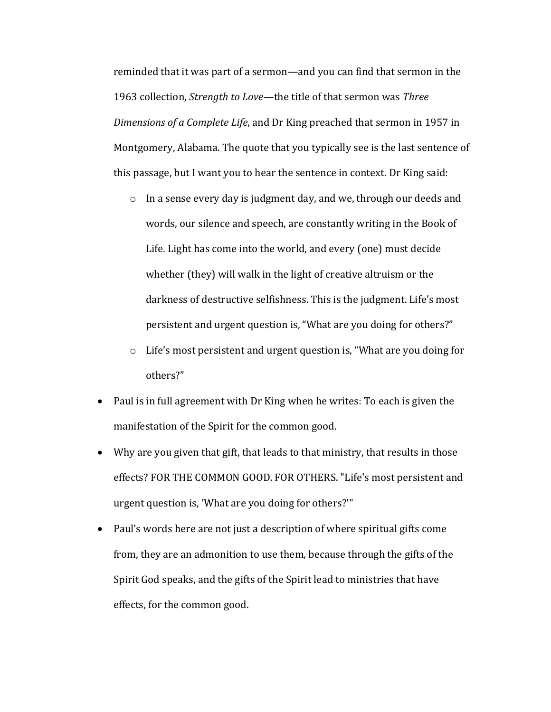reminded that it was part of a sermon—and you can find that sermon in the 1963 collection, *Strength to Love*—the title of that sermon was *Three Dimensions of a Complete Life,* and Dr King preached that sermon in 1957 in Montgomery, Alabama. The quote that you typically see is the last sentence of this passage, but I want you to hear the sentence in context. Dr King said:

- o In a sense every day is judgment day, and we, through our deeds and words, our silence and speech, are constantly writing in the Book of Life. Light has come into the world, and every (one) must decide whether  $(they)$  will walk in the light of creative altruism or the darkness of destructive selfishness. This is the judgment. Life's most persistent and urgent question is, "What are you doing for others?"
- $\circ$  Life's most persistent and urgent question is, "What are you doing for others?"
- Paul is in full agreement with Dr King when he writes: To each is given the manifestation of the Spirit for the common good.
- Why are you given that gift, that leads to that ministry, that results in those effects? FOR THE COMMON GOOD. FOR OTHERS. "Life's most persistent and urgent question is, 'What are you doing for others?'"
- Paul's words here are not just a description of where spiritual gifts come from, they are an admonition to use them, because through the gifts of the Spirit God speaks, and the gifts of the Spirit lead to ministries that have effects, for the common good.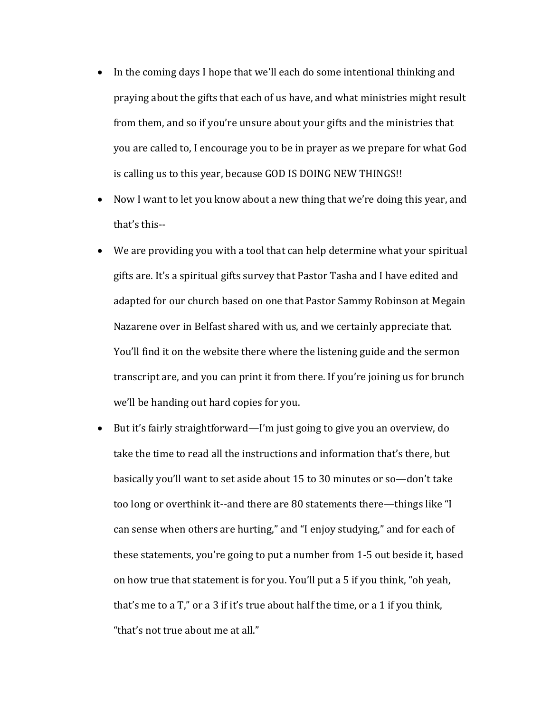- In the coming days I hope that we'll each do some intentional thinking and praying about the gifts that each of us have, and what ministries might result from them, and so if you're unsure about your gifts and the ministries that you are called to, I encourage you to be in prayer as we prepare for what God is calling us to this year, because GOD IS DOING NEW THINGS!!
- Now I want to let you know about a new thing that we're doing this year, and that's this--
- We are providing you with a tool that can help determine what your spiritual gifts are. It's a spiritual gifts survey that Pastor Tasha and I have edited and adapted for our church based on one that Pastor Sammy Robinson at Megain Nazarene over in Belfast shared with us, and we certainly appreciate that. You'll find it on the website there where the listening guide and the sermon transcript are, and you can print it from there. If you're joining us for brunch we'll be handing out hard copies for you.
- But it's fairly straightforward—I'm just going to give you an overview, do take the time to read all the instructions and information that's there, but basically you'll want to set aside about 15 to 30 minutes or so—don't take too long or overthink it--and there are 80 statements there—things like "I can sense when others are hurting," and "I enjoy studying," and for each of these statements, you're going to put a number from 1-5 out beside it, based on how true that statement is for you. You'll put a 5 if you think, "oh yeah, that's me to a  $T''$ , or a 3 if it's true about half the time, or a 1 if you think, "that's not true about me at all."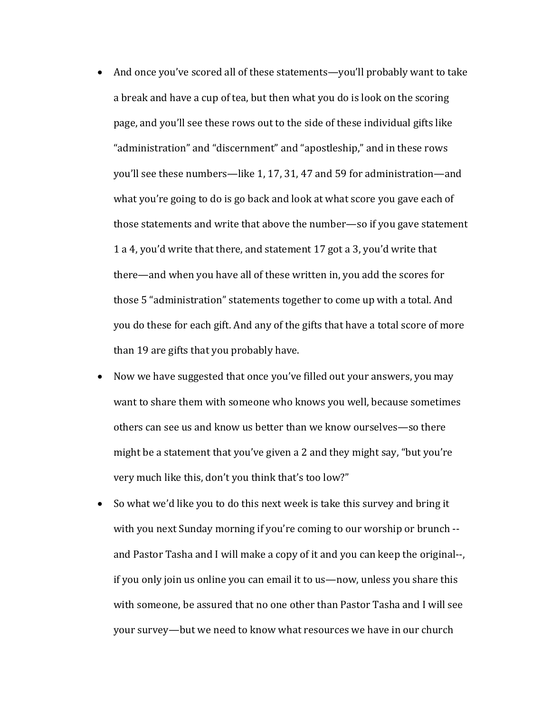- And once you've scored all of these statements—you'll probably want to take a break and have a cup of tea, but then what you do is look on the scoring page, and you'll see these rows out to the side of these individual gifts like "administration" and "discernment" and "apostleship," and in these rows you'll see these numbers—like 1, 17, 31, 47 and 59 for administration—and what you're going to do is go back and look at what score you gave each of those statements and write that above the number—so if you gave statement 1 a 4, you'd write that there, and statement 17 got a 3, you'd write that there—and when you have all of these written in, you add the scores for those 5 "administration" statements together to come up with a total. And you do these for each gift. And any of the gifts that have a total score of more than 19 are gifts that you probably have.
- Now we have suggested that once you've filled out your answers, you may want to share them with someone who knows you well, because sometimes others can see us and know us better than we know ourselves—so there might be a statement that you've given a 2 and they might say, "but you're very much like this, don't you think that's too low?"
- So what we'd like you to do this next week is take this survey and bring it with you next Sunday morning if you're coming to our worship or brunch -and Pastor Tasha and I will make a copy of it and you can keep the original--, if you only join us online you can email it to us—now, unless you share this with someone, be assured that no one other than Pastor Tasha and I will see your survey—but we need to know what resources we have in our church